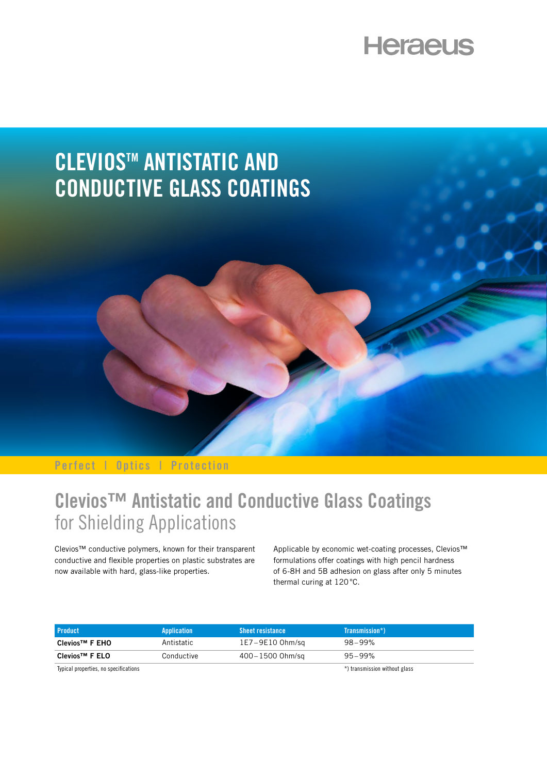# **Heraeus**



**Perfect | Optics | Protection**

### **Clevios™ Antistatic and Conductive Glass Coatings**  for Shielding Applications

Clevios™ conductive polymers, known for their transparent conductive and flexible properties on plastic substrates are now available with hard, glass-like properties.

Applicable by economic wet-coating processes, Clevios™ formulations offer coatings with high pencil hardness of 6-8H and 5B adhesion on glass after only 5 minutes thermal curing at 120°C.

| <b>Product</b>                       | Application | <b>Sheet resistance</b> | Transmission*)                   |
|--------------------------------------|-------------|-------------------------|----------------------------------|
| Clevios <sup>™</sup> F EHO           | Antistatic  | 1E7–9E10 Ohm/sa         | 98–99%                           |
| Clevios <sup>™</sup> F ELO           | Conductive  | 400–1500 Ohm/sa         | 95–99%                           |
| Tunical properties no specifications |             |                         | $*$ ) tranemiecinn without alace |

Typical properties, no specificat